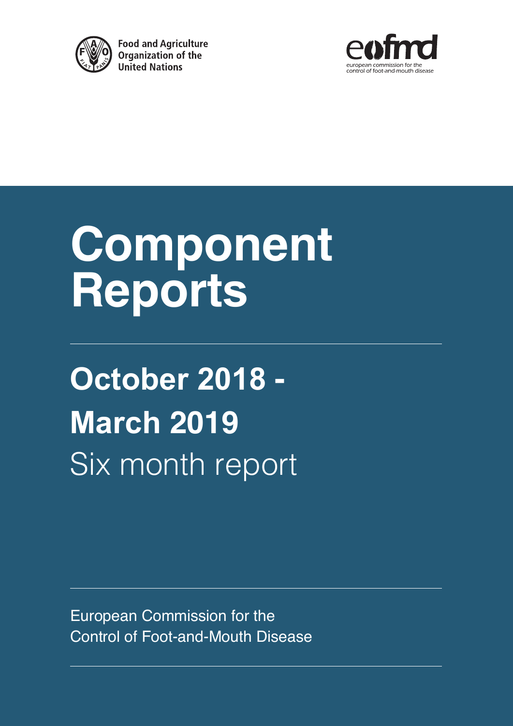

**Food and Agriculture** Organization of the **United Nations** 



## **Component Reports**

**October 2018 - March 2019** Six month report

European Commission for the Control of Foot-and-Mouth Disease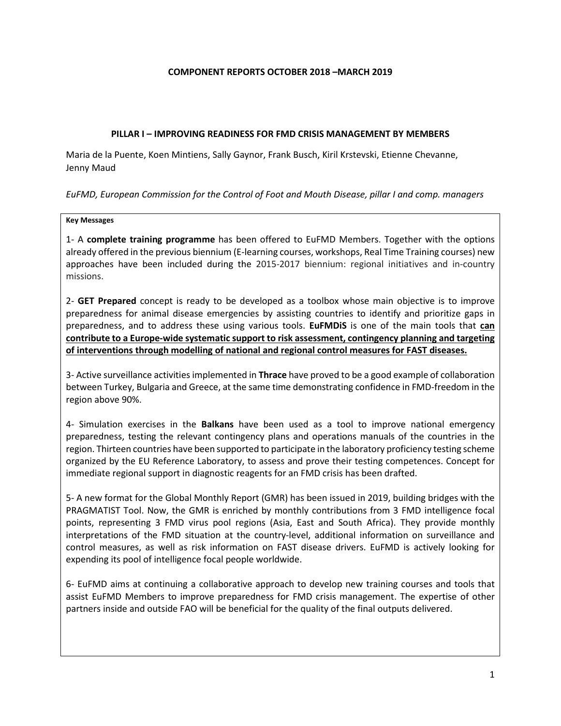### **COMPONENT REPORTS OCTOBER 2018 –MARCH 2019**

### **PILLAR I – IMPROVING READINESS FOR FMD CRISIS MANAGEMENT BY MEMBERS**

Maria de la Puente, Koen Mintiens, Sally Gaynor, Frank Busch, Kiril Krstevski, Etienne Chevanne, Jenny Maud

*EuFMD, European Commission for the Control of Foot and Mouth Disease, pillar I and comp. managers*

### **Key Messages**

1- A **complete training programme** has been offered to EuFMD Members. Together with the options already offered in the previous biennium (E-learning courses, workshops, Real Time Training courses) new approaches have been included during the 2015-2017 biennium: regional initiatives and in-country missions.

2- **GET Prepared** concept is ready to be developed as a toolbox whose main objective is to improve preparedness for animal disease emergencies by assisting countries to identify and prioritize gaps in preparedness, and to address these using various tools. **EuFMDiS** is one of the main tools that **can contribute to a Europe-wide systematic support to risk assessment, contingency planning and targeting of interventions through modelling of national and regional control measures for FAST diseases.**

3- Active surveillance activities implemented in **Thrace** have proved to be a good example of collaboration between Turkey, Bulgaria and Greece, at the same time demonstrating confidence in FMD-freedom in the region above 90%.

4- Simulation exercises in the **Balkans** have been used as a tool to improve national emergency preparedness, testing the relevant contingency plans and operations manuals of the countries in the region. Thirteen countries have been supported to participate in the laboratory proficiency testing scheme organized by the EU Reference Laboratory, to assess and prove their testing competences. Concept for immediate regional support in diagnostic reagents for an FMD crisis has been drafted.

5- A new format for the Global Monthly Report (GMR) has been issued in 2019, building bridges with the PRAGMATIST Tool. Now, the GMR is enriched by monthly contributions from 3 FMD intelligence focal points, representing 3 FMD virus pool regions (Asia, East and South Africa). They provide monthly interpretations of the FMD situation at the country-level, additional information on surveillance and control measures, as well as risk information on FAST disease drivers. EuFMD is actively looking for expending its pool of intelligence focal people worldwide.

6- EuFMD aims at continuing a collaborative approach to develop new training courses and tools that assist EuFMD Members to improve preparedness for FMD crisis management. The expertise of other partners inside and outside FAO will be beneficial for the quality of the final outputs delivered.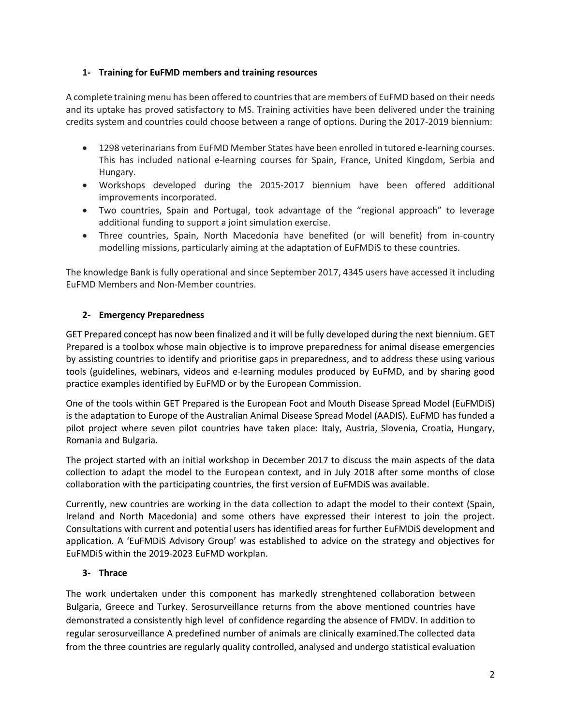### **1- Training for EuFMD members and training resources**

A complete training menu has been offered to countries that are members of EuFMD based on their needs and its uptake has proved satisfactory to MS. Training activities have been delivered under the training credits system and countries could choose between a range of options. During the 2017-2019 biennium:

- 1298 veterinarians from EuFMD Member States have been enrolled in tutored e-learning courses. This has included national e-learning courses for Spain, France, United Kingdom, Serbia and Hungary.
- Workshops developed during the 2015-2017 biennium have been offered additional improvements incorporated.
- Two countries, Spain and Portugal, took advantage of the "regional approach" to leverage additional funding to support a joint simulation exercise.
- Three countries, Spain, North Macedonia have benefited (or will benefit) from in-country modelling missions, particularly aiming at the adaptation of EuFMDiS to these countries.

The knowledge Bank is fully operational and since September 2017, 4345 users have accessed it including EuFMD Members and Non-Member countries.

### **2- Emergency Preparedness**

GET Prepared concept has now been finalized and it will be fully developed during the next biennium. GET Prepared is a toolbox whose main objective is to improve preparedness for animal disease emergencies by assisting countries to identify and prioritise gaps in preparedness, and to address these using various tools (guidelines, webinars, videos and e-learning modules produced by EuFMD, and by sharing good practice examples identified by EuFMD or by the European Commission.

One of the tools within GET Prepared is the European Foot and Mouth Disease Spread Model (EuFMDiS) is the adaptation to Europe of the Australian Animal Disease Spread Model (AADIS). EuFMD has funded a pilot project where seven pilot countries have taken place: Italy, Austria, Slovenia, Croatia, Hungary, Romania and Bulgaria.

The project started with an initial workshop in December 2017 to discuss the main aspects of the data collection to adapt the model to the European context, and in July 2018 after some months of close collaboration with the participating countries, the first version of EuFMDiS was available.

Currently, new countries are working in the data collection to adapt the model to their context (Spain, Ireland and North Macedonia) and some others have expressed their interest to join the project. Consultations with current and potential users has identified areas for further EuFMDiS development and application. A 'EuFMDiS Advisory Group' was established to advice on the strategy and objectives for EuFMDiS within the 2019-2023 EuFMD workplan.

### **3- Thrace**

The work undertaken under this component has markedly strenghtened collaboration between Bulgaria, Greece and Turkey. Serosurveillance returns from the above mentioned countries have demonstrated a consistently high level of confidence regarding the absence of FMDV. In addition to regular serosurveillance A predefined number of animals are clinically examined.The collected data from the three countries are regularly quality controlled, analysed and undergo statistical evaluation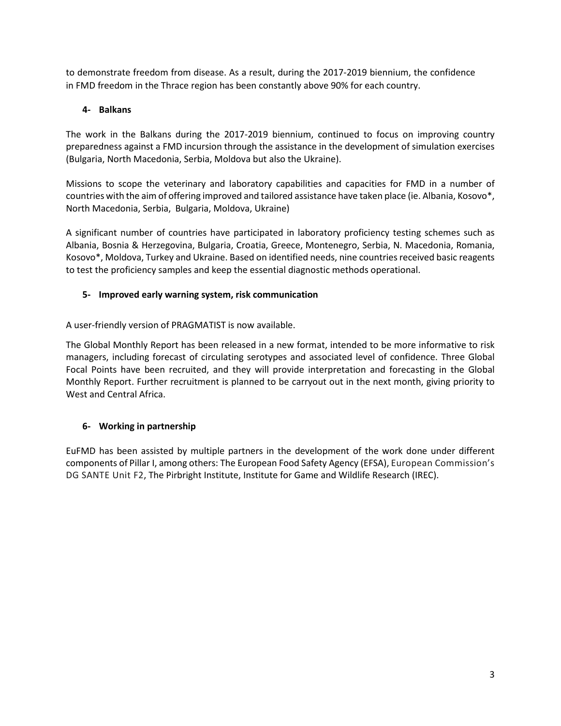to demonstrate freedom from disease. As a result, during the 2017-2019 biennium, the confidence in FMD freedom in the Thrace region has been constantly above 90% for each country.

### **4- Balkans**

The work in the Balkans during the 2017-2019 biennium, continued to focus on improving country preparedness against a FMD incursion through the assistance in the development of simulation exercises (Bulgaria, North Macedonia, Serbia, Moldova but also the Ukraine).

Missions to scope the veterinary and laboratory capabilities and capacities for FMD in a number of countries with the aim of offering improved and tailored assistance have taken place (ie. Albania, Kosovo\*, North Macedonia, Serbia, Bulgaria, Moldova, Ukraine)

A significant number of countries have participated in laboratory proficiency testing schemes such as Albania, Bosnia & Herzegovina, Bulgaria, Croatia, Greece, Montenegro, Serbia, N. Macedonia, Romania, Kosovo\*, Moldova, Turkey and Ukraine. Based on identified needs, nine countries received basic reagents to test the proficiency samples and keep the essential diagnostic methods operational.

### **5- Improved early warning system, risk communication**

A user-friendly version of PRAGMATIST is now available.

The Global Monthly Report has been released in a new format, intended to be more informative to risk managers, including forecast of circulating serotypes and associated level of confidence. Three Global Focal Points have been recruited, and they will provide interpretation and forecasting in the Global Monthly Report. Further recruitment is planned to be carryout out in the next month, giving priority to West and Central Africa.

### **6- Working in partnership**

EuFMD has been assisted by multiple partners in the development of the work done under different components of Pillar I, among others: The European Food Safety Agency (EFSA), European Commission's DG SANTE Unit F2, The Pirbright Institute, Institute for Game and Wildlife Research (IREC).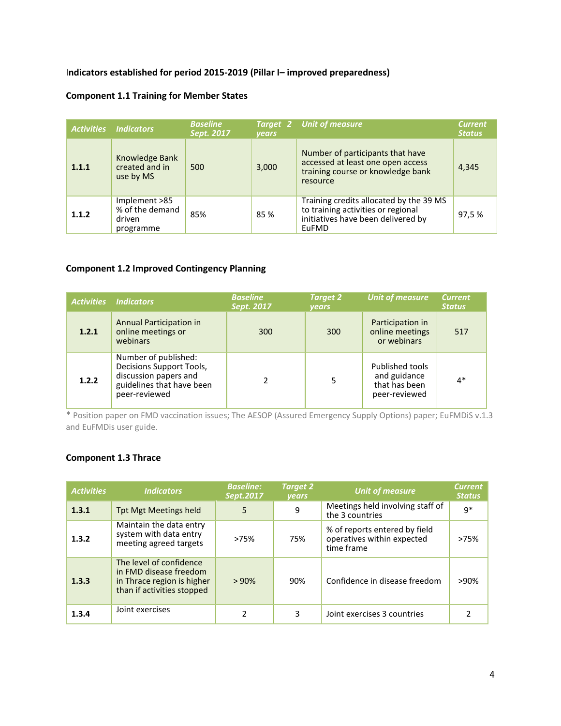### I**ndicators established for period 2015-2019 (Pillar I– improved preparedness)**

### **Component 1.1 Training for Member States**

| <b>Activities</b> | <b>Indicators</b>                                       | <b>Baseline</b><br>Sept. 2017 | <b>vears</b> | <b>Target 2 Unit of measure</b>                                                                                              | <b>Current</b><br><b>Status</b> |
|-------------------|---------------------------------------------------------|-------------------------------|--------------|------------------------------------------------------------------------------------------------------------------------------|---------------------------------|
| 1.1.1             | Knowledge Bank<br>created and in<br>use by MS           | 500                           | 3,000        | Number of participants that have<br>accessed at least one open access<br>training course or knowledge bank<br>resource       | 4,345                           |
| 1.1.2             | Implement >85<br>% of the demand<br>driven<br>programme | 85%                           | 85%          | Training credits allocated by the 39 MS<br>to training activities or regional<br>initiatives have been delivered by<br>EuFMD | 97.5 %                          |

### **Component 1.2 Improved Contingency Planning**

| <b>Activities</b> | <b>Indicators</b>                                                                                                       | <b>Baseline</b><br>Sept. 2017 | <b>Target 2</b><br><b>vears</b> | <b>Unit of measure</b>                                            | <b>Current</b><br><b>Status</b> |
|-------------------|-------------------------------------------------------------------------------------------------------------------------|-------------------------------|---------------------------------|-------------------------------------------------------------------|---------------------------------|
| 1.2.1             | Annual Participation in<br>online meetings or<br>webinars                                                               | 300                           | 300                             | Participation in<br>online meetings<br>or webinars                | 517                             |
| 1.2.2             | Number of published:<br>Decisions Support Tools,<br>discussion papers and<br>guidelines that have been<br>peer-reviewed |                               |                                 | Published tools<br>and guidance<br>that has been<br>peer-reviewed | $4*$                            |

\* Position paper on FMD vaccination issues; The AESOP (Assured Emergency Supply Options) paper; EuFMDiS v.1.3 and EuFMDis user guide.

### **Component 1.3 Thrace**

| <b>Activities</b> | <b>Indicators</b>                                                                                             | <b>Baseline:</b><br>Sept.2017 | <b>Target 2</b><br><b>vears</b> | <b>Unit of measure</b>                                                    | <b>Current</b><br><b>Status</b> |
|-------------------|---------------------------------------------------------------------------------------------------------------|-------------------------------|---------------------------------|---------------------------------------------------------------------------|---------------------------------|
| 1.3.1             | Tpt Mgt Meetings held                                                                                         | 5                             | 9                               | Meetings held involving staff of<br>the 3 countries                       | $q*$                            |
| 1.3.2             | Maintain the data entry<br>system with data entry<br>meeting agreed targets                                   | >75%                          | 75%                             | % of reports entered by field<br>operatives within expected<br>time frame | >75%                            |
| 1, 3, 3           | The level of confidence<br>in FMD disease freedom<br>in Thrace region is higher<br>than if activities stopped | >90%                          | 90%                             | Confidence in disease freedom                                             | >90%                            |
| 1.3.4             | Joint exercises                                                                                               | 2                             | 3                               | Joint exercises 3 countries                                               |                                 |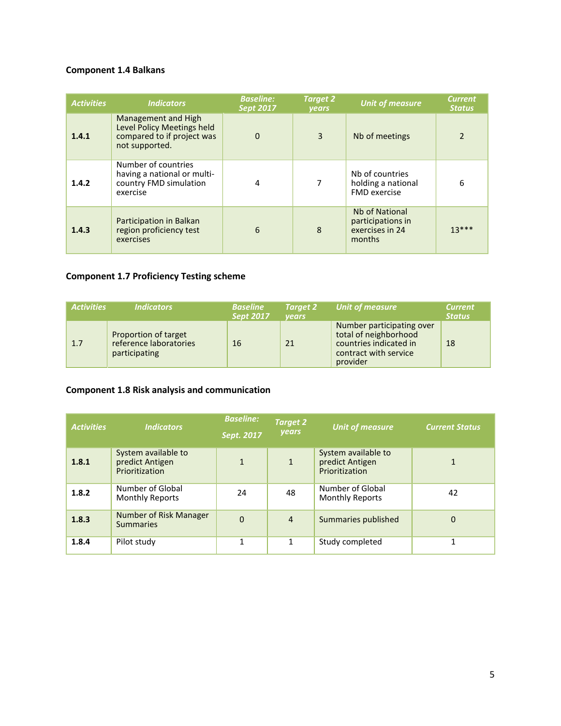### **Component 1.4 Balkans**

| <b>Activities</b> | <b>Indicators</b>                                                                                 | <b>Baseline:</b><br><b>Sept 2017</b> | <b>Target 2</b><br><b>vears</b> | <b>Unit of measure</b>                                           | <b>Current</b><br><b>Status</b> |
|-------------------|---------------------------------------------------------------------------------------------------|--------------------------------------|---------------------------------|------------------------------------------------------------------|---------------------------------|
| 1.4.1             | Management and High<br>Level Policy Meetings held<br>compared to if project was<br>not supported. | $\Omega$                             | $\overline{3}$                  | Nb of meetings                                                   | $\overline{2}$                  |
| 1.4.2             | Number of countries<br>having a national or multi-<br>country FMD simulation<br>exercise          | 4                                    |                                 | Nb of countries<br>holding a national<br><b>FMD</b> exercise     | 6                               |
| 1.4.3             | Participation in Balkan<br>region proficiency test<br>exercises                                   | 6                                    | $\mathbf{8}$                    | Nb of National<br>participations in<br>exercises in 24<br>months | $13***$                         |

### **Component 1.7 Proficiency Testing scheme**

| <b>Activities</b> | <b>Indicators</b>                                               | <b>Baseline</b><br><b>Sept 2017</b> | <b>Target 2</b><br>vears | Unit of measure                                                                                                   | <b>Current</b><br><b>Status</b> |
|-------------------|-----------------------------------------------------------------|-------------------------------------|--------------------------|-------------------------------------------------------------------------------------------------------------------|---------------------------------|
| 1.7               | Proportion of target<br>reference laboratories<br>participating | 16                                  | 21                       | Number participating over<br>total of neighborhood<br>countries indicated in<br>contract with service<br>provider | 18                              |

### **Component 1.8 Risk analysis and communication**

| <b>Activities</b> | <b>Indicators</b>                                        | <b>Baseline:</b><br>Sept. 2017 | <b>Target 2</b><br>years | <b>Unit of measure</b>                                   | <b>Current Status</b> |
|-------------------|----------------------------------------------------------|--------------------------------|--------------------------|----------------------------------------------------------|-----------------------|
| 1.8.1             | System available to<br>predict Antigen<br>Prioritization | $\mathbf{1}$                   | $\mathbf{1}$             | System available to<br>predict Antigen<br>Prioritization | 1                     |
| 1.8.2             | Number of Global<br><b>Monthly Reports</b>               | 24                             | 48                       | Number of Global<br><b>Monthly Reports</b>               | 42                    |
| 1.8.3             | Number of Risk Manager<br><b>Summaries</b>               | $\Omega$                       | $\overline{4}$           | Summaries published                                      | $\Omega$              |
| 1.8.4             | Pilot study                                              | 1                              |                          | Study completed                                          | 1                     |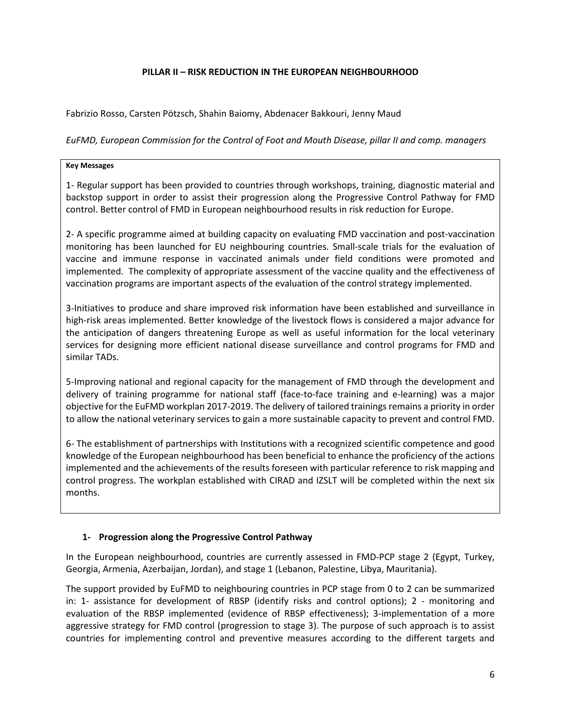### **PILLAR II – RISK REDUCTION IN THE EUROPEAN NEIGHBOURHOOD**

Fabrizio Rosso, Carsten Pötzsch, Shahin Baiomy, Abdenacer Bakkouri, Jenny Maud

*EuFMD, European Commission for the Control of Foot and Mouth Disease, pillar II and comp. managers*

### **Key Messages**

1- Regular support has been provided to countries through workshops, training, diagnostic material and backstop support in order to assist their progression along the Progressive Control Pathway for FMD control. Better control of FMD in European neighbourhood results in risk reduction for Europe.

2- A specific programme aimed at building capacity on evaluating FMD vaccination and post-vaccination monitoring has been launched for EU neighbouring countries. Small-scale trials for the evaluation of vaccine and immune response in vaccinated animals under field conditions were promoted and implemented. The complexity of appropriate assessment of the vaccine quality and the effectiveness of vaccination programs are important aspects of the evaluation of the control strategy implemented.

3-Initiatives to produce and share improved risk information have been established and surveillance in high-risk areas implemented. Better knowledge of the livestock flows is considered a major advance for the anticipation of dangers threatening Europe as well as useful information for the local veterinary services for designing more efficient national disease surveillance and control programs for FMD and similar TADs.

5-Improving national and regional capacity for the management of FMD through the development and delivery of training programme for national staff (face-to-face training and e-learning) was a major objective for the EuFMD workplan 2017-2019. The delivery of tailored trainings remains a priority in order to allow the national veterinary services to gain a more sustainable capacity to prevent and control FMD.

6- The establishment of partnerships with Institutions with a recognized scientific competence and good knowledge of the European neighbourhood has been beneficial to enhance the proficiency of the actions implemented and the achievements of the results foreseen with particular reference to risk mapping and control progress. The workplan established with CIRAD and IZSLT will be completed within the next six months.

### **1- Progression along the Progressive Control Pathway**

In the European neighbourhood, countries are currently assessed in FMD-PCP stage 2 (Egypt, Turkey, Georgia, Armenia, Azerbaijan, Jordan), and stage 1 (Lebanon, Palestine, Libya, Mauritania).

The support provided by EuFMD to neighbouring countries in PCP stage from 0 to 2 can be summarized in: 1- assistance for development of RBSP (identify risks and control options); 2 - monitoring and evaluation of the RBSP implemented (evidence of RBSP effectiveness); 3-implementation of a more aggressive strategy for FMD control (progression to stage 3). The purpose of such approach is to assist countries for implementing control and preventive measures according to the different targets and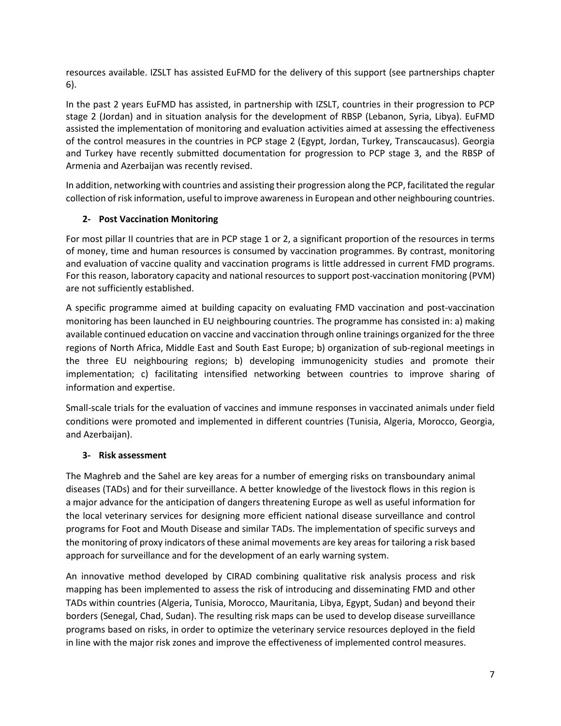resources available. IZSLT has assisted EuFMD for the delivery of this support (see partnerships chapter 6).

In the past 2 years EuFMD has assisted, in partnership with IZSLT, countries in their progression to PCP stage 2 (Jordan) and in situation analysis for the development of RBSP (Lebanon, Syria, Libya). EuFMD assisted the implementation of monitoring and evaluation activities aimed at assessing the effectiveness of the control measures in the countries in PCP stage 2 (Egypt, Jordan, Turkey, Transcaucasus). Georgia and Turkey have recently submitted documentation for progression to PCP stage 3, and the RBSP of Armenia and Azerbaijan was recently revised.

In addition, networking with countries and assisting their progression along the PCP, facilitated the regular collection ofrisk information, useful to improve awareness in European and other neighbouring countries.

### **2- Post Vaccination Monitoring**

For most pillar II countries that are in PCP stage 1 or 2, a significant proportion of the resources in terms of money, time and human resources is consumed by vaccination programmes. By contrast, monitoring and evaluation of vaccine quality and vaccination programs is little addressed in current FMD programs. For this reason, laboratory capacity and national resources to support post-vaccination monitoring (PVM) are not sufficiently established.

A specific programme aimed at building capacity on evaluating FMD vaccination and post-vaccination monitoring has been launched in EU neighbouring countries. The programme has consisted in: a) making available continued education on vaccine and vaccination through online trainings organized for the three regions of North Africa, Middle East and South East Europe; b) organization of sub-regional meetings in the three EU neighbouring regions; b) developing immunogenicity studies and promote their implementation; c) facilitating intensified networking between countries to improve sharing of information and expertise.

Small-scale trials for the evaluation of vaccines and immune responses in vaccinated animals under field conditions were promoted and implemented in different countries (Tunisia, Algeria, Morocco, Georgia, and Azerbaijan).

### **3- Risk assessment**

The Maghreb and the Sahel are key areas for a number of emerging risks on transboundary animal diseases (TADs) and for their surveillance. A better knowledge of the livestock flows in this region is a major advance for the anticipation of dangers threatening Europe as well as useful information for the local veterinary services for designing more efficient national disease surveillance and control programs for Foot and Mouth Disease and similar TADs. The implementation of specific surveys and the monitoring of proxy indicators of these animal movements are key areas for tailoring a risk based approach for surveillance and for the development of an early warning system.

An innovative method developed by CIRAD combining qualitative risk analysis process and risk mapping has been implemented to assess the risk of introducing and disseminating FMD and other TADs within countries (Algeria, Tunisia, Morocco, Mauritania, Libya, Egypt, Sudan) and beyond their borders (Senegal, Chad, Sudan). The resulting risk maps can be used to develop disease surveillance programs based on risks, in order to optimize the veterinary service resources deployed in the field in line with the major risk zones and improve the effectiveness of implemented control measures.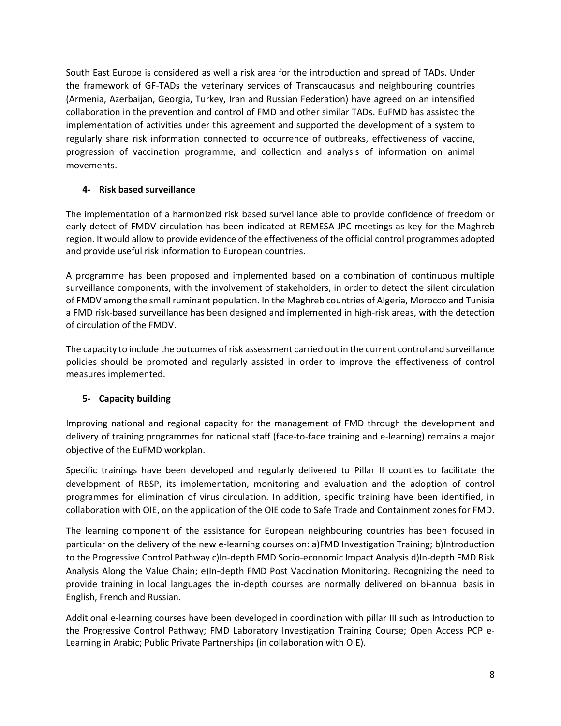South East Europe is considered as well a risk area for the introduction and spread of TADs. Under the framework of GF-TADs the veterinary services of Transcaucasus and neighbouring countries (Armenia, Azerbaijan, Georgia, Turkey, Iran and Russian Federation) have agreed on an intensified collaboration in the prevention and control of FMD and other similar TADs. EuFMD has assisted the implementation of activities under this agreement and supported the development of a system to regularly share risk information connected to occurrence of outbreaks, effectiveness of vaccine, progression of vaccination programme, and collection and analysis of information on animal movements.

### **4- Risk based surveillance**

The implementation of a harmonized risk based surveillance able to provide confidence of freedom or early detect of FMDV circulation has been indicated at REMESA JPC meetings as key for the Maghreb region. It would allow to provide evidence of the effectiveness of the official control programmes adopted and provide useful risk information to European countries.

A programme has been proposed and implemented based on a combination of continuous multiple surveillance components, with the involvement of stakeholders, in order to detect the silent circulation of FMDV among the small ruminant population. In the Maghreb countries of Algeria, Morocco and Tunisia a FMD risk-based surveillance has been designed and implemented in high-risk areas, with the detection of circulation of the FMDV.

The capacity to include the outcomes of risk assessment carried out in the current control and surveillance policies should be promoted and regularly assisted in order to improve the effectiveness of control measures implemented.

### **5- Capacity building**

Improving national and regional capacity for the management of FMD through the development and delivery of training programmes for national staff (face-to-face training and e-learning) remains a major objective of the EuFMD workplan.

Specific trainings have been developed and regularly delivered to Pillar II counties to facilitate the development of RBSP, its implementation, monitoring and evaluation and the adoption of control programmes for elimination of virus circulation. In addition, specific training have been identified, in collaboration with OIE, on the application of the OIE code to Safe Trade and Containment zones for FMD.

The learning component of the assistance for European neighbouring countries has been focused in particular on the delivery of the new e-learning courses on: a)FMD Investigation Training; b)Introduction to the Progressive Control Pathway c)In-depth FMD Socio-economic Impact Analysis d)In-depth FMD Risk Analysis Along the Value Chain; e)In-depth FMD Post Vaccination Monitoring. Recognizing the need to provide training in local languages the in-depth courses are normally delivered on bi-annual basis in English, French and Russian.

Additional e-learning courses have been developed in coordination with pillar III such as Introduction to the Progressive Control Pathway; FMD Laboratory Investigation Training Course; Open Access PCP e-Learning in Arabic; Public Private Partnerships (in collaboration with OIE).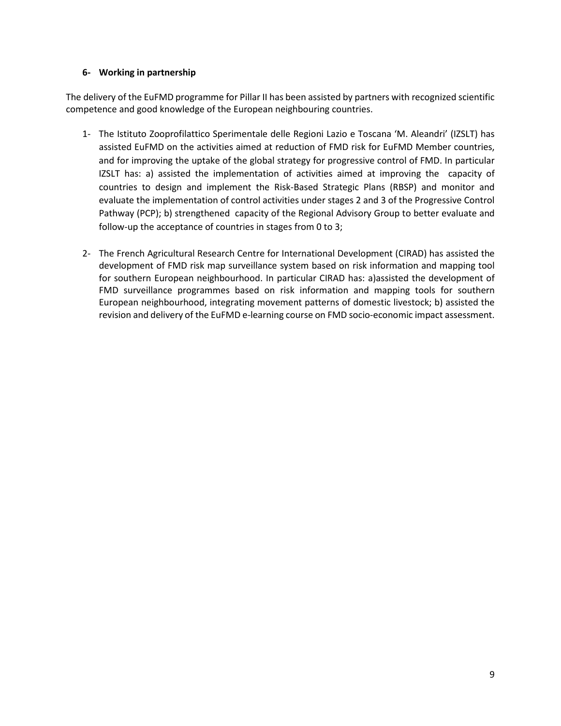### **6- Working in partnership**

The delivery of the EuFMD programme for Pillar II has been assisted by partners with recognized scientific competence and good knowledge of the European neighbouring countries.

- 1- The Istituto Zooprofilattico Sperimentale delle Regioni Lazio e Toscana 'M. Aleandri' (IZSLT) has assisted EuFMD on the activities aimed at reduction of FMD risk for EuFMD Member countries, and for improving the uptake of the global strategy for progressive control of FMD. In particular IZSLT has: a) assisted the implementation of activities aimed at improving the capacity of countries to design and implement the Risk-Based Strategic Plans (RBSP) and monitor and evaluate the implementation of control activities under stages 2 and 3 of the Progressive Control Pathway (PCP); b) strengthened capacity of the Regional Advisory Group to better evaluate and follow-up the acceptance of countries in stages from 0 to 3;
- 2- The French Agricultural Research Centre for International Development (CIRAD) has assisted the development of FMD risk map surveillance system based on risk information and mapping tool for southern European neighbourhood. In particular CIRAD has: a)assisted the development of FMD surveillance programmes based on risk information and mapping tools for southern European neighbourhood, integrating movement patterns of domestic livestock; b) assisted the revision and delivery of the EuFMD e-learning course on FMD socio-economic impact assessment.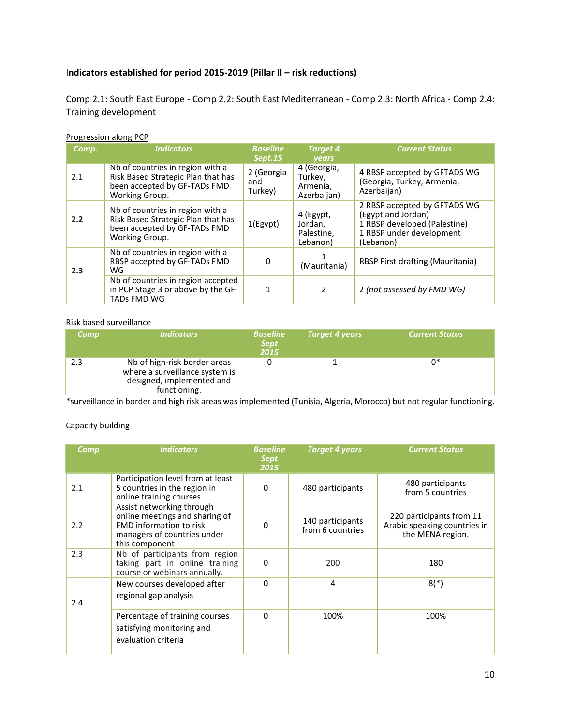### I**ndicators established for period 2015-2019 (Pillar II – risk reductions)**

Comp 2.1: South East Europe - Comp 2.2: South East Mediterranean - Comp 2.3: North Africa - Comp 2.4: Training development

### Progression along PCP

| Comp. | <b>Indicators</b>                                                                                                        | <b>Baseline</b><br>Sept.15   | <b>Target 4</b><br>years                          | <b>Current Status</b>                                                                                                       |
|-------|--------------------------------------------------------------------------------------------------------------------------|------------------------------|---------------------------------------------------|-----------------------------------------------------------------------------------------------------------------------------|
| 2.1   | Nb of countries in region with a<br>Risk Based Strategic Plan that has<br>been accepted by GF-TADs FMD<br>Working Group. | 2 (Georgia<br>and<br>Turkey) | 4 (Georgia,<br>Turkey,<br>Armenia,<br>Azerbaijan) | 4 RBSP accepted by GFTADS WG<br>(Georgia, Turkey, Armenia,<br>Azerbaijan)                                                   |
| 2.2   | Nb of countries in region with a<br>Risk Based Strategic Plan that has<br>been accepted by GF-TADs FMD<br>Working Group. | 1(Egypt)                     | 4 (Egypt,<br>Jordan,<br>Palestine,<br>Lebanon)    | 2 RBSP accepted by GFTADS WG<br>(Egypt and Jordan)<br>1 RBSP developed (Palestine)<br>1 RBSP under development<br>(Lebanon) |
| 2.3   | Nb of countries in region with a<br>RBSP accepted by GF-TADs FMD<br>WG                                                   | 0                            | (Mauritania)                                      | RBSP First drafting (Mauritania)                                                                                            |
|       | Nb of countries in region accepted<br>in PCP Stage 3 or above by the GF-<br><b>TADs FMD WG</b>                           |                              | $\mathcal{P}$                                     | 2 (not assessed by FMD WG)                                                                                                  |

### Risk based surveillance

| Comp | <b>Indicators</b>                                                                                           | <b>Baseline</b><br><b>Sept</b><br>2015 | Target 4 years | <b>Current Status</b> |
|------|-------------------------------------------------------------------------------------------------------------|----------------------------------------|----------------|-----------------------|
| 2.3  | Nb of high-risk border areas<br>where a surveillance system is<br>designed, implemented and<br>functioning. |                                        |                | 0*                    |

\*surveillance in border and high risk areas was implemented (Tunisia, Algeria, Morocco) but not regular functioning.

### Capacity building

| Comp | <b>Indicators</b>                                                                                                                       | <b>Baseline</b><br><b>Sept</b><br>2015 | <b>Target 4 years</b>                | <b>Current Status</b>                                                        |
|------|-----------------------------------------------------------------------------------------------------------------------------------------|----------------------------------------|--------------------------------------|------------------------------------------------------------------------------|
| 2.1  | Participation level from at least<br>5 countries in the region in<br>online training courses                                            | 0                                      | 480 participants                     | 480 participants<br>from 5 countries                                         |
| 2.2  | Assist networking through<br>online meetings and sharing of<br>FMD information to risk<br>managers of countries under<br>this component | $\Omega$                               | 140 participants<br>from 6 countries | 220 participants from 11<br>Arabic speaking countries in<br>the MENA region. |
| 2.3  | Nb of participants from region<br>taking part in online training<br>course or webinars annually.                                        | <sup>0</sup>                           | 200                                  | 180                                                                          |
| 2.4  | New courses developed after<br>regional gap analysis                                                                                    | 0                                      | 4                                    | $8(*)$                                                                       |
|      | Percentage of training courses<br>satisfying monitoring and<br>evaluation criteria                                                      | $\Omega$                               | 100%                                 | 100%                                                                         |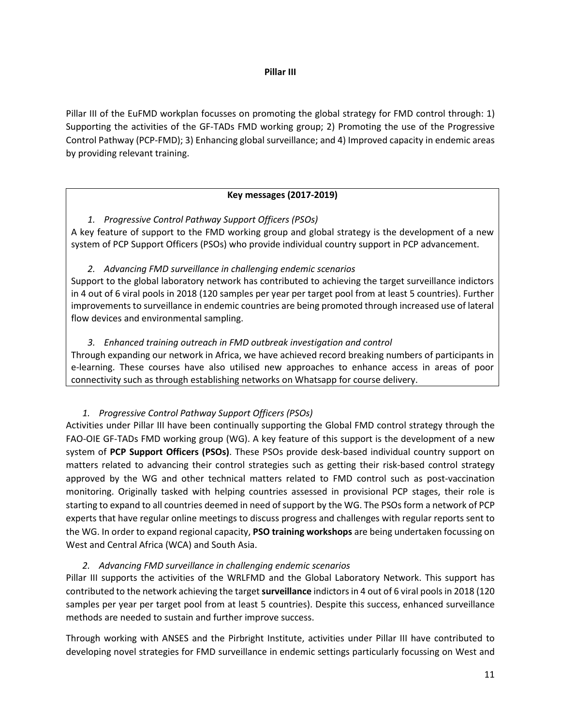### **Pillar III**

Pillar III of the EuFMD workplan focusses on promoting the global strategy for FMD control through: 1) Supporting the activities of the GF-TADs FMD working group; 2) Promoting the use of the Progressive Control Pathway (PCP-FMD); 3) Enhancing global surveillance; and 4) Improved capacity in endemic areas by providing relevant training.

### **Key messages (2017-2019)**

*1. Progressive Control Pathway Support Officers (PSOs)* A key feature of support to the FMD working group and global strategy is the development of a new system of PCP Support Officers (PSOs) who provide individual country support in PCP advancement.

### *2. Advancing FMD surveillance in challenging endemic scenarios*

Support to the global laboratory network has contributed to achieving the target surveillance indictors in 4 out of 6 viral pools in 2018 (120 samples per year per target pool from at least 5 countries). Further improvements to surveillance in endemic countries are being promoted through increased use of lateral flow devices and environmental sampling.

### *3. Enhanced training outreach in FMD outbreak investigation and control*

Through expanding our network in Africa, we have achieved record breaking numbers of participants in e-learning. These courses have also utilised new approaches to enhance access in areas of poor connectivity such as through establishing networks on Whatsapp for course delivery.

### *1. Progressive Control Pathway Support Officers (PSOs)*

Activities under Pillar III have been continually supporting the Global FMD control strategy through the FAO-OIE GF-TADs FMD working group (WG). A key feature of this support is the development of a new system of **PCP Support Officers (PSOs)**. These PSOs provide desk-based individual country support on matters related to advancing their control strategies such as getting their risk-based control strategy approved by the WG and other technical matters related to FMD control such as post-vaccination monitoring. Originally tasked with helping countries assessed in provisional PCP stages, their role is starting to expand to all countries deemed in need of support by the WG. The PSOs form a network of PCP experts that have regular online meetings to discuss progress and challenges with regular reports sent to the WG. In order to expand regional capacity, **PSO training workshops** are being undertaken focussing on West and Central Africa (WCA) and South Asia.

### *2. Advancing FMD surveillance in challenging endemic scenarios*

Pillar III supports the activities of the WRLFMD and the Global Laboratory Network. This support has contributed to the network achieving the target **surveillance** indictors in 4 out of 6 viral pools in 2018 (120 samples per year per target pool from at least 5 countries). Despite this success, enhanced surveillance methods are needed to sustain and further improve success.

Through working with ANSES and the Pirbright Institute, activities under Pillar III have contributed to developing novel strategies for FMD surveillance in endemic settings particularly focussing on West and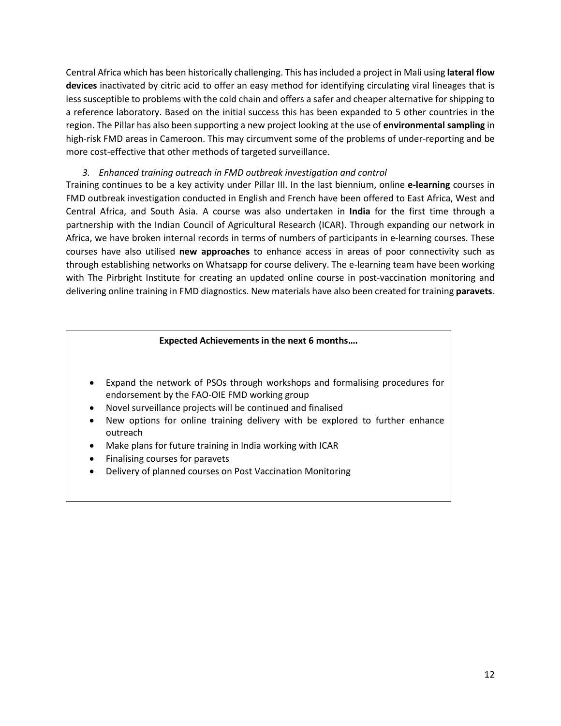Central Africa which has been historically challenging. This has included a project in Mali using **lateral flow devices** inactivated by citric acid to offer an easy method for identifying circulating viral lineages that is less susceptible to problems with the cold chain and offers a safer and cheaper alternative for shipping to a reference laboratory. Based on the initial success this has been expanded to 5 other countries in the region. The Pillar has also been supporting a new project looking at the use of **environmental sampling** in high-risk FMD areas in Cameroon. This may circumvent some of the problems of under-reporting and be more cost-effective that other methods of targeted surveillance.

### *3. Enhanced training outreach in FMD outbreak investigation and control*

Training continues to be a key activity under Pillar III. In the last biennium, online **e-learning** courses in FMD outbreak investigation conducted in English and French have been offered to East Africa, West and Central Africa, and South Asia. A course was also undertaken in **India** for the first time through a partnership with the Indian Council of Agricultural Research (ICAR). Through expanding our network in Africa, we have broken internal records in terms of numbers of participants in e-learning courses. These courses have also utilised **new approaches** to enhance access in areas of poor connectivity such as through establishing networks on Whatsapp for course delivery. The e-learning team have been working with The Pirbright Institute for creating an updated online course in post-vaccination monitoring and delivering online training in FMD diagnostics. New materials have also been created for training **paravets**.

### **Expected Achievements in the next 6 months….**

- Expand the network of PSOs through workshops and formalising procedures for endorsement by the FAO-OIE FMD working group
- Novel surveillance projects will be continued and finalised
- New options for online training delivery with be explored to further enhance outreach
- Make plans for future training in India working with ICAR
- Finalising courses for paravets
- Delivery of planned courses on Post Vaccination Monitoring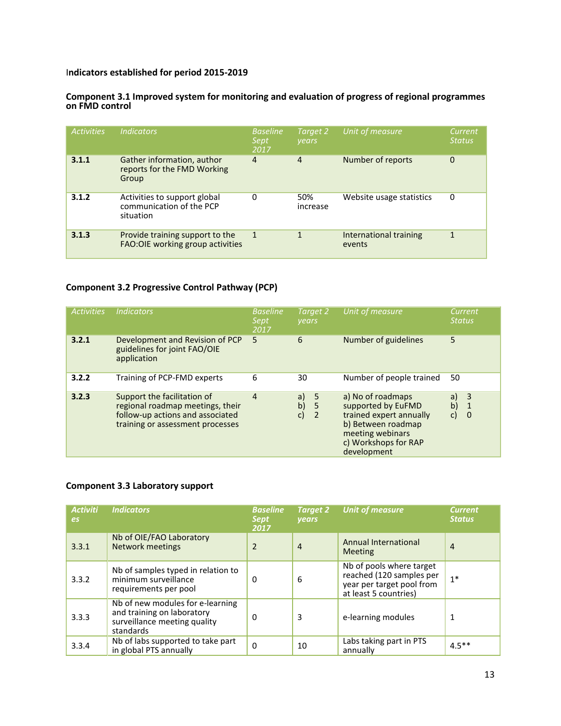### I**ndicators established for period 2015-2019**

### **Component 3.1 Improved system for monitoring and evaluation of progress of regional programmes on FMD control**

| <b>Activities</b> | <b>Indicators</b>                                                     | <b>Baseline</b><br>Sept<br>2017 | Target 2<br><b>vears</b> | Unit of measure                  | <b>Current</b><br><b>Status</b> |
|-------------------|-----------------------------------------------------------------------|---------------------------------|--------------------------|----------------------------------|---------------------------------|
| 3.1.1             | Gather information, author<br>reports for the FMD Working<br>Group    | 4                               | $\overline{4}$           | Number of reports                | 0                               |
| 3.1.2             | Activities to support global<br>communication of the PCP<br>situation | 0                               | 50%<br>increase          | Website usage statistics         | 0                               |
| 3.1.3             | Provide training support to the<br>FAO: OIE working group activities  | 1                               | 1                        | International training<br>events | 1                               |

### **Component 3.2 Progressive Control Pathway (PCP)**

| <b>Activities</b> | <b>Indicators</b>                                                                                                                       | <b>Baseline</b><br>Sept<br>2017 | Target 2<br>years                                                 | Unit of measure                                                                                                                                     | Current<br><b>Status</b>                                            |
|-------------------|-----------------------------------------------------------------------------------------------------------------------------------------|---------------------------------|-------------------------------------------------------------------|-----------------------------------------------------------------------------------------------------------------------------------------------------|---------------------------------------------------------------------|
| 3.2.1             | Development and Revision of PCP<br>guidelines for joint FAO/OIE<br>application                                                          | 5                               | 6                                                                 | Number of guidelines                                                                                                                                | 5                                                                   |
| 3.2.2             | Training of PCP-FMD experts                                                                                                             | 6                               | 30                                                                | Number of people trained                                                                                                                            | 50                                                                  |
| 3.2.3             | Support the facilitation of<br>regional roadmap meetings, their<br>follow-up actions and associated<br>training or assessment processes | $\overline{4}$                  | $\overline{\phantom{0}}$<br>a)<br>b)<br>5<br>c)<br>$\overline{2}$ | a) No of roadmaps<br>supported by EuFMD<br>trained expert annually<br>b) Between roadmap<br>meeting webinars<br>c) Workshops for RAP<br>development | 3<br>a)<br>$\mathsf{b}$<br>$\mathbf{1}$<br>$\mathsf{C}$<br>$\Omega$ |

### **Component 3.3 Laboratory support**

| <b>Activiti</b><br>es | <b>Indicators</b>                                                                                           | <b>Baseline</b><br><b>Sept</b><br>2017 | <b>Target 2</b><br><b>vears</b> | Unit of measure                                                                                            | <b>Current</b><br><b>Status</b> |
|-----------------------|-------------------------------------------------------------------------------------------------------------|----------------------------------------|---------------------------------|------------------------------------------------------------------------------------------------------------|---------------------------------|
| 3.3.1                 | Nb of OIE/FAO Laboratory<br><b>Network meetings</b>                                                         | $\overline{2}$                         | $\overline{4}$                  | Annual International<br><b>Meeting</b>                                                                     | $\overline{4}$                  |
| 3.3.2                 | Nb of samples typed in relation to<br>minimum surveillance<br>requirements per pool                         | 0                                      | 6                               | Nb of pools where target<br>reached (120 samples per<br>year per target pool from<br>at least 5 countries) | $1*$                            |
| 3.3.3                 | Nb of new modules for e-learning<br>and training on laboratory<br>surveillance meeting quality<br>standards | 0                                      | 3                               | e-learning modules                                                                                         | 1                               |
| 3.3.4                 | Nb of labs supported to take part<br>in global PTS annually                                                 | $\mathbf 0$                            | 10                              | Labs taking part in PTS<br>annually                                                                        | $4.5***$                        |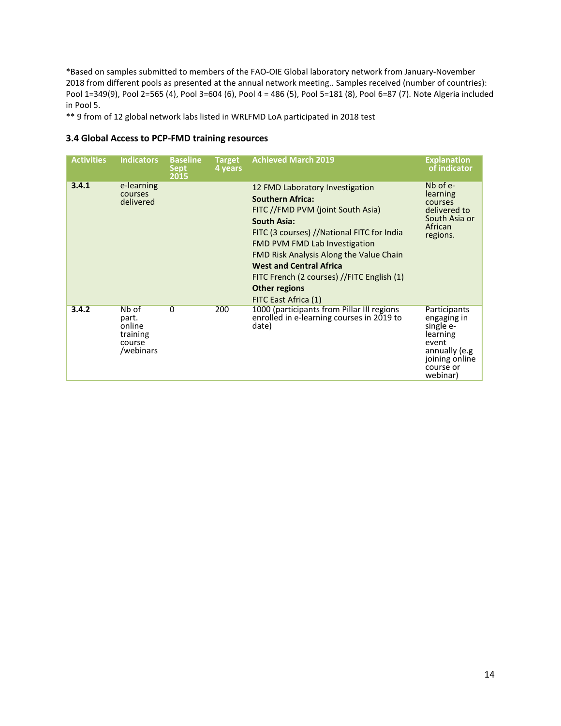\*Based on samples submitted to members of the FAO-OIE Global laboratory network from January-November 2018 from different pools as presented at the annual network meeting.. Samples received (number of countries): Pool 1=349(9), Pool 2=565 (4), Pool 3=604 (6), Pool 4 = 486 (5), Pool 5=181 (8), Pool 6=87 (7). Note Algeria included in Pool 5.

\*\* 9 from of 12 global network labs listed in WRLFMD LoA participated in 2018 test

### **3.4 Global Access to PCP-FMD training resources**

| <b>Activities</b> | <b>Indicators</b>                                           | <b>Baseline</b><br><b>Sept</b><br>2015 | <b>Target</b><br>4 years | <b>Achieved March 2019</b>                                                                                                                                                                                                                                                                                                                                                                    | <b>Explanation</b><br>of indicator                                                                                        |
|-------------------|-------------------------------------------------------------|----------------------------------------|--------------------------|-----------------------------------------------------------------------------------------------------------------------------------------------------------------------------------------------------------------------------------------------------------------------------------------------------------------------------------------------------------------------------------------------|---------------------------------------------------------------------------------------------------------------------------|
| 3.4.1             | e-learning<br>courses<br>delivered                          |                                        |                          | 12 FMD Laboratory Investigation<br><b>Southern Africa:</b><br>FITC //FMD PVM (joint South Asia)<br><b>South Asia:</b><br>FITC (3 courses) //National FITC for India<br><b>FMD PVM FMD Lab Investigation</b><br><b>FMD Risk Analysis Along the Value Chain</b><br><b>West and Central Africa</b><br>FITC French (2 courses) //FITC English (1)<br><b>Other regions</b><br>FITC East Africa (1) | $Nb$ of $e-$<br>learning<br>courses<br>delivered to<br>South Asia or<br>African<br>regions.                               |
| 3.4.2             | Nb of<br>part.<br>online<br>training<br>course<br>/webinars | $\Omega$                               | 200                      | 1000 (participants from Pillar III regions<br>enrolled in e-learning courses in 2019 to<br>date)                                                                                                                                                                                                                                                                                              | Participants<br>engaging in<br>single e-<br>learning<br>event<br>annually (e.g<br>joining online<br>course or<br>webinar) |